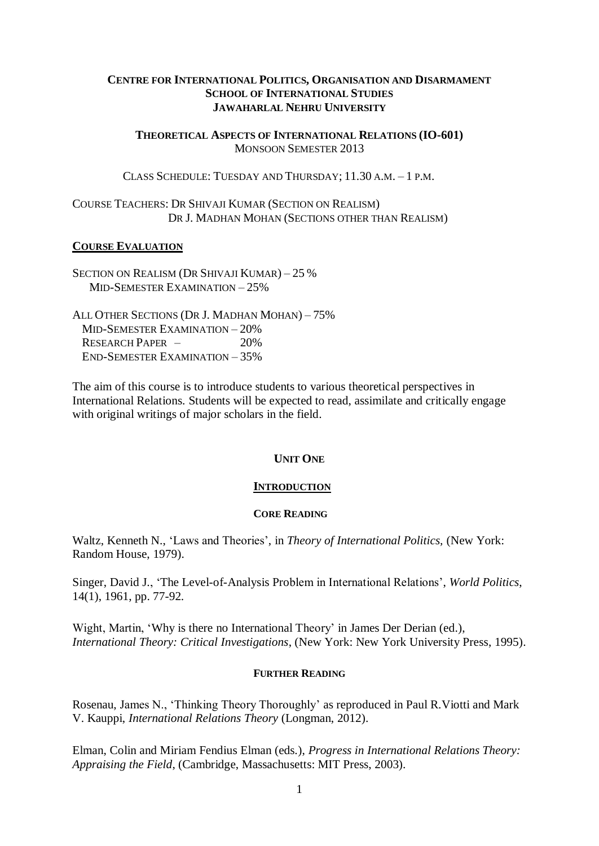# **CENTRE FOR INTERNATIONAL POLITICS, ORGANISATION AND DISARMAMENT SCHOOL OF INTERNATIONAL STUDIES JAWAHARLAL NEHRU UNIVERSITY**

**THEORETICAL ASPECTS OF INTERNATIONAL RELATIONS (IO-601)** MONSOON SEMESTER 2013

CLASS SCHEDULE: TUESDAY AND THURSDAY; 11.30 A.M. – 1 P.M.

COURSE TEACHERS: DR SHIVAJI KUMAR (SECTION ON REALISM) DR J. MADHAN MOHAN (SECTIONS OTHER THAN REALISM)

# **COURSE EVALUATION**

SECTION ON REALISM (DR SHIVAJI KUMAR) – 25 % MID-SEMESTER EXAMINATION – 25%

ALL OTHER SECTIONS (DR J. MADHAN MOHAN) – 75% MID-SEMESTER EXAMINATION – 20% RESEARCH PAPER  $-$  20% END-SEMESTER EXAMINATION – 35%

The aim of this course is to introduce students to various theoretical perspectives in International Relations. Students will be expected to read, assimilate and critically engage with original writings of major scholars in the field.

# **UNIT ONE**

# **INTRODUCTION**

# **CORE READING**

Waltz, Kenneth N., 'Laws and Theories', in *Theory of International Politics,* (New York: Random House, 1979).

Singer, David J., 'The Level-of-Analysis Problem in International Relations', *World Politics*, 14(1), 1961, pp. 77-92.

Wight, Martin, 'Why is there no International Theory' in James Der Derian (ed.), *International Theory: Critical Investigations*, (New York: New York University Press, 1995).

# **FURTHER READING**

Rosenau, James N., 'Thinking Theory Thoroughly' as reproduced in Paul R.Viotti and Mark V. Kauppi, *International Relations Theory* (Longman, 2012).

Elman, Colin and Miriam Fendius Elman (eds.), *Progress in International Relations Theory: Appraising the Field*, (Cambridge, Massachusetts: MIT Press, 2003).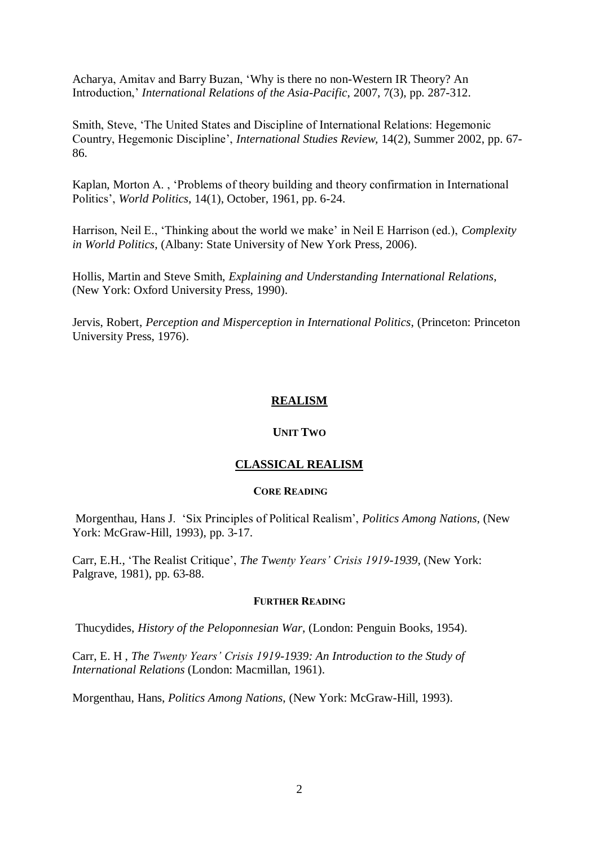Acharya, Amitav and Barry Buzan, 'Why is there no non-Western IR Theory? An Introduction,' *International Relations of the Asia-Pacific*, 2007, 7(3), pp. 287-312.

Smith, Steve, 'The United States and Discipline of International Relations: Hegemonic Country, Hegemonic Discipline', *International Studies Review,* 14(2), Summer 2002, pp. 67- 86.

Kaplan, Morton A. , 'Problems of theory building and theory confirmation in International Politics', *World Politics*, 14(1), October, 1961, pp. 6-24.

Harrison, Neil E., 'Thinking about the world we make' in Neil E Harrison (ed.), *Complexity in World Politics*, (Albany: State University of New York Press, 2006).

Hollis, Martin and Steve Smith, *Explaining and Understanding International Relations*, (New York: Oxford University Press, 1990).

Jervis, Robert, *Perception and Misperception in International Politics*, (Princeton: Princeton University Press, 1976).

# **REALISM**

# **UNIT TWO**

# **CLASSICAL REALISM**

## **CORE READING**

Morgenthau, Hans J. 'Six Principles of Political Realism', *Politics Among Nations*, (New York: McGraw-Hill, 1993), pp. 3-17.

Carr, E.H., 'The Realist Critique', *The Twenty Years' Crisis 1919-1939*, (New York: Palgrave, 1981), pp. 63-88.

## **FURTHER READING**

Thucydides, *History of the Peloponnesian War*, (London: Penguin Books, 1954).

Carr, E. H , *The Twenty Years' Crisis 1919-1939: An Introduction to the Study of International Relations* (London: Macmillan, 1961).

Morgenthau, Hans, *Politics Among Nations*, (New York: McGraw-Hill, 1993).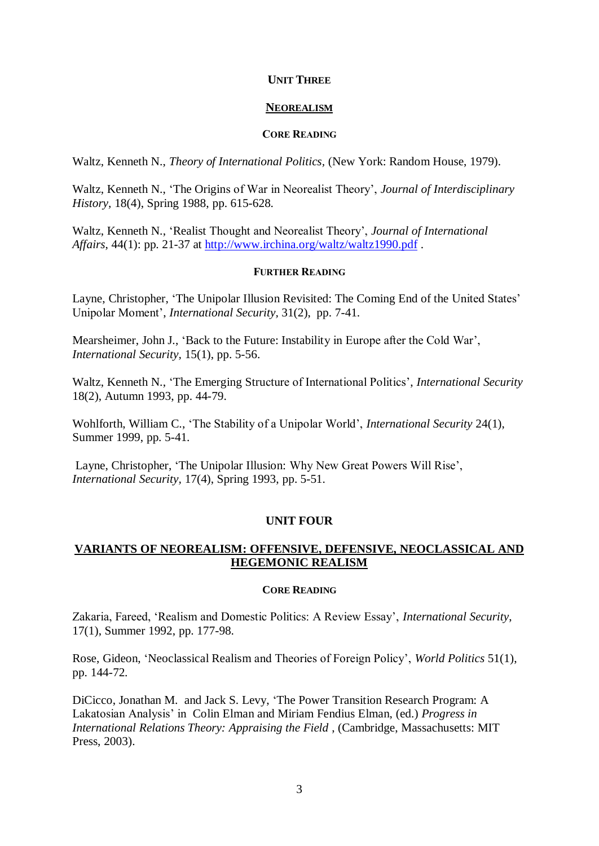# **UNIT THREE**

# **NEOREALISM**

# **CORE READING**

Waltz, Kenneth N., *Theory of International Politics,* (New York: Random House, 1979).

Waltz, Kenneth N., 'The Origins of War in Neorealist Theory', *Journal of Interdisciplinary History,* 18(4), Spring 1988, pp. 615-628.

Waltz, Kenneth N., 'Realist Thought and Neorealist Theory', *Journal of International Affairs*, 44(1): pp. 21-37 at<http://www.irchina.org/waltz/waltz1990.pdf>.

# **FURTHER READING**

Layne, Christopher, 'The Unipolar Illusion Revisited: The Coming End of the United States' Unipolar Moment', *International Security,* 31(2), pp. 7-41.

Mearsheimer, John J., 'Back to the Future: Instability in Europe after the Cold War', *International Security,* 15(1), pp. 5-56.

Waltz, Kenneth N., 'The Emerging Structure of International Politics', *International Security* 18(2), Autumn 1993, pp. 44-79.

Wohlforth, William C., 'The Stability of a Unipolar World', *International Security* 24(1), Summer 1999, pp. 5-41.

Layne, Christopher, 'The Unipolar Illusion: Why New Great Powers Will Rise', *International Security,* 17(4), Spring 1993, pp. 5-51.

# **UNIT FOUR**

# **VARIANTS OF NEOREALISM: OFFENSIVE, DEFENSIVE, NEOCLASSICAL AND HEGEMONIC REALISM**

# **CORE READING**

Zakaria, Fareed, 'Realism and Domestic Politics: A Review Essay', *International Security*, 17(1), Summer 1992, pp. 177-98.

Rose, Gideon, 'Neoclassical Realism and Theories of Foreign Policy', *World Politics* 51(1), pp. 144-72.

DiCicco, Jonathan M. and Jack S. Levy, 'The Power Transition Research Program: A Lakatosian Analysis' in Colin Elman and Miriam Fendius Elman, (ed.) *Progress in International Relations Theory: Appraising the Field* , (Cambridge, Massachusetts: MIT Press, 2003).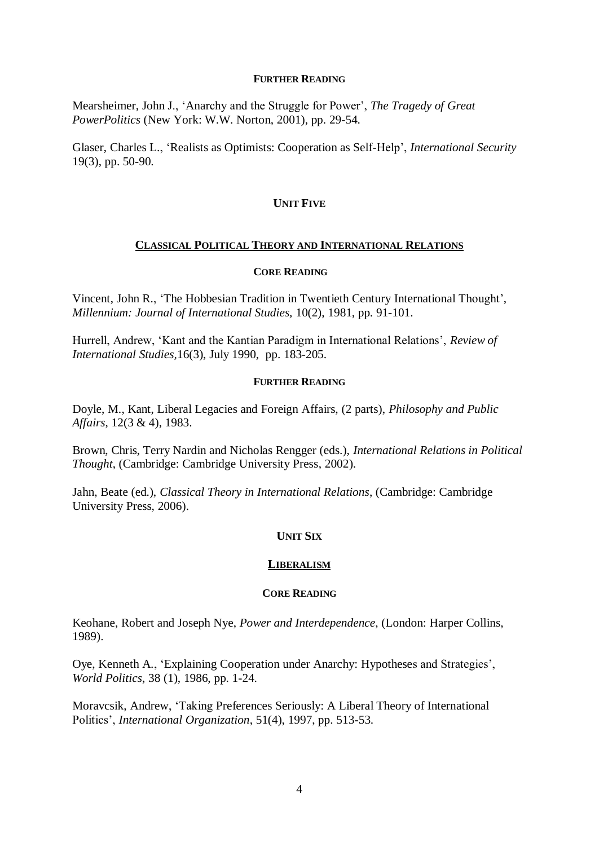Mearsheimer, John J., 'Anarchy and the Struggle for Power', *The Tragedy of Great PowerPolitics* (New York: W.W. Norton, 2001), pp. 29-54.

Glaser, Charles L., 'Realists as Optimists: Cooperation as Self-Help', *International Security*  19(3), pp. 50-90.

# **UNIT FIVE**

# **CLASSICAL POLITICAL THEORY AND INTERNATIONAL RELATIONS**

## **CORE READING**

Vincent, John R., 'The Hobbesian Tradition in Twentieth Century International Thought', *Millennium: Journal of International Studies,* 10(2), 1981, pp. 91-101.

Hurrell, Andrew, 'Kant and the Kantian Paradigm in International Relations', *Review of International Studies,*16(3), July 1990, pp. 183-205.

# **FURTHER READING**

Doyle, M., Kant, Liberal Legacies and Foreign Affairs, (2 parts), *Philosophy and Public Affairs*, 12(3 & 4), 1983.

Brown, Chris, Terry Nardin and Nicholas Rengger (eds.), *International Relations in Political Thought*, (Cambridge: Cambridge University Press, 2002).

Jahn, Beate (ed.), *Classical Theory in International Relations*, (Cambridge: Cambridge University Press, 2006).

# **UNIT SIX**

# **LIBERALISM**

# **CORE READING**

Keohane, Robert and Joseph Nye, *Power and Interdependence*, (London: Harper Collins, 1989).

Oye, Kenneth A., 'Explaining Cooperation under Anarchy: Hypotheses and Strategies', *World Politics*, 38 (1), 1986, pp. 1-24.

Moravcsik, Andrew, 'Taking Preferences Seriously: A Liberal Theory of International Politics', *International Organization*, 51(4), 1997, pp. 513-53.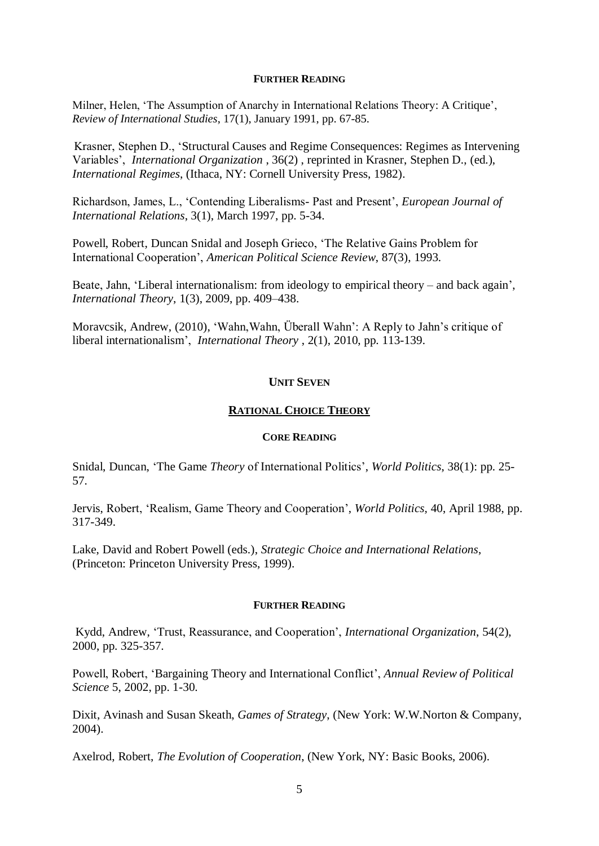Milner, Helen, 'The Assumption of Anarchy in International Relations Theory: A Critique', *Review of International Studies*, 17(1), January 1991, pp. 67-85.

 Krasner, Stephen D., 'Structural Causes and Regime Consequences: Regimes as Intervening Variables', *International Organization* , 36(2) , reprinted in Krasner, Stephen D., (ed.), *International Regimes*, (Ithaca, NY: Cornell University Press, 1982).

Richardson, James, L., 'Contending Liberalisms- Past and Present', *European Journal of International Relations*, 3(1), March 1997, pp. 5-34.

Powell, Robert, Duncan Snidal and Joseph Grieco, 'The Relative Gains Problem for International Cooperation', *American Political Science Review*, 87(3), 1993.

Beate, Jahn, 'Liberal internationalism: from ideology to empirical theory – and back again', *International Theory*, 1(3), 2009, pp. 409–438.

Moravcsik, Andrew, (2010), 'Wahn, Wahn, Überall Wahn': A Reply to Jahn's critique of [liberal internationalism'](http://www.princeton.edu/~amoravcs/library/wahn_wahn.pdf), *International Theory* , 2(1), 2010, pp. 113-139.

# **UNIT SEVEN**

## **RATIONAL CHOICE THEORY**

#### **CORE READING**

Snidal, Duncan, 'The Game *Theory* of International Politics', *World Politics*, 38(1): pp. 25- 57.

Jervis, Robert, 'Realism, Game Theory and Cooperation', *World Politics,* 40, April 1988, pp. 317-349.

Lake, David and Robert Powell (eds.), *Strategic Choice and International Relations*, (Princeton: Princeton University Press, 1999).

## **FURTHER READING**

Kydd, Andrew, 'Trust, Reassurance, and Cooperation', *International Organization*, 54(2), 2000, pp. 325-357.

Powell, Robert, 'Bargaining Theory and International Conflict', *Annual Review of Political Science* 5, 2002, pp. 1-30.

Dixit, Avinash and Susan Skeath, *Games of Strategy*, (New York: W.W.Norton & Company, 2004).

Axelrod, Robert, *The Evolution of Cooperation*, (New York, NY: Basic Books, 2006).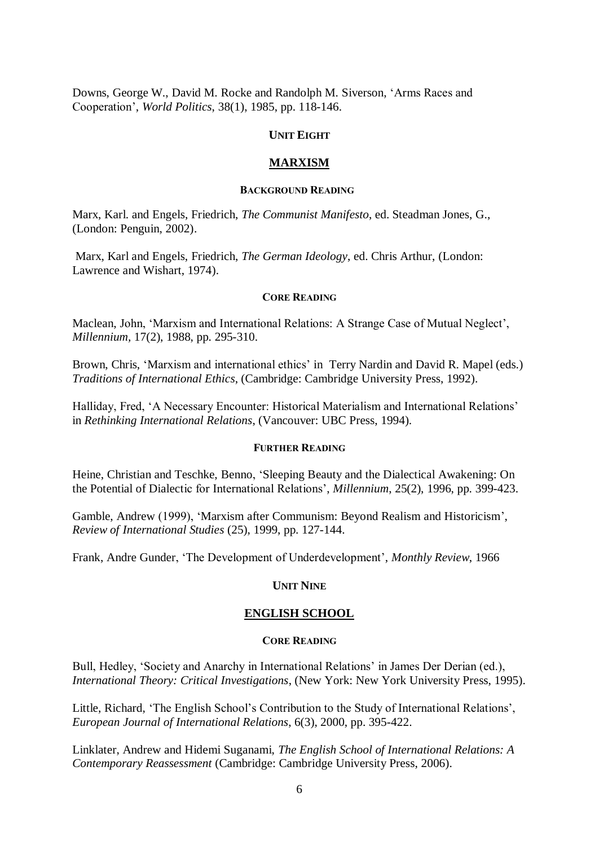Downs, George W., David M. Rocke and Randolph M. Siverson, 'Arms Races and Cooperation', *World Politics*, 38(1), 1985, pp. 118-146.

## **UNIT EIGHT**

## **MARXISM**

#### **BACKGROUND READING**

Marx, Karl. and Engels, Friedrich, *The Communist Manifesto*, ed. Steadman Jones, G., (London: Penguin, 2002).

Marx, Karl and Engels, Friedrich, *The German Ideology*, ed. Chris Arthur, (London: Lawrence and Wishart, 1974).

## **CORE READING**

Maclean, John, 'Marxism and International Relations: A Strange Case of Mutual Neglect', *Millennium,* 17(2), 1988, pp. 295-310.

Brown, Chris, 'Marxism and international ethics' in Terry Nardin and David R. Mapel (eds.) *Traditions of International Ethics*, (Cambridge: Cambridge University Press, 1992).

Halliday, Fred, 'A Necessary Encounter: Historical Materialism and International Relations' in *Rethinking International Relations*, (Vancouver: UBC Press, 1994).

# **FURTHER READING**

Heine, Christian and Teschke, Benno, 'Sleeping Beauty and the Dialectical Awakening: On the Potential of Dialectic for International Relations', *Millennium*, 25(2), 1996, pp. 399-423.

Gamble, Andrew (1999), 'Marxism after Communism: Beyond Realism and Historicism', *Review of International Studies* (25), 1999, pp. 127-144.

Frank, Andre Gunder, 'The Development of Underdevelopment', *Monthly Review*, 1966

### **UNIT NINE**

## **ENGLISH SCHOOL**

#### **CORE READING**

Bull, Hedley, 'Society and Anarchy in International Relations' in James Der Derian (ed.), *International Theory: Critical Investigations*, (New York: New York University Press, 1995).

Little, Richard, 'The English School's Contribution to the Study of International Relations', *European Journal of International Relations*, 6(3), 2000, pp. 395-422.

Linklater, Andrew and Hidemi Suganami, *The English School of International Relations: A Contemporary Reassessment* (Cambridge: Cambridge University Press, 2006).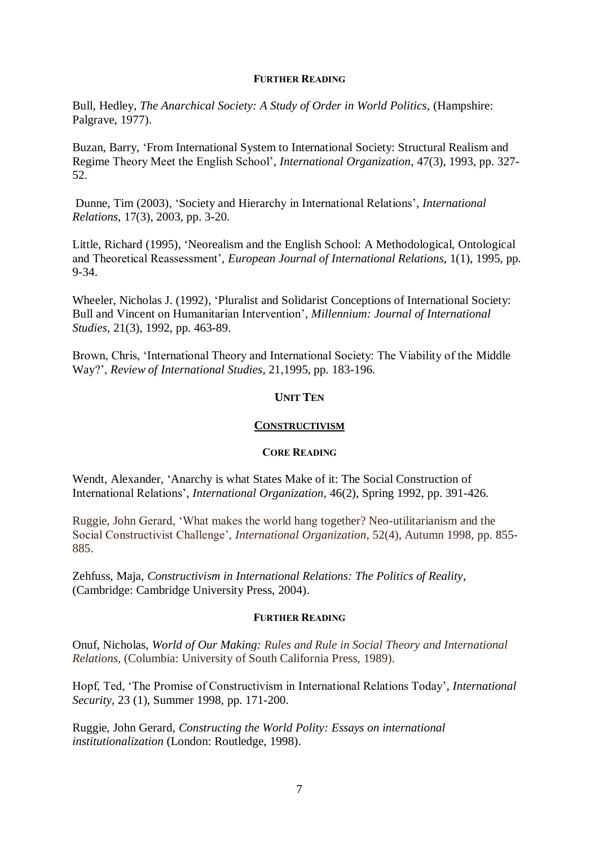Bull, Hedley, *The Anarchical Society: A Study of Order in World Politics,* (Hampshire: Palgrave, 1977).

Buzan, Barry, 'From International System to International Society: Structural Realism and Regime Theory Meet the English School', *International Organization*, 47(3), 1993, pp. 327- 52.

Dunne, Tim (2003), 'Society and Hierarchy in International Relations', *International Relations*, 17(3), 2003, pp. 3-20.

Little, Richard (1995), 'Neorealism and the English School: A Methodological, Ontological and Theoretical Reassessment', *European Journal of International Relations*, 1(1), 1995, pp. 9-34.

Wheeler, Nicholas J. (1992), 'Pluralist and Solidarist Conceptions of International Society: Bull and Vincent on Humanitarian Intervention', *Millennium: Journal of International Studies*, 21(3), 1992, pp. 463-89.

Brown, Chris, 'International Theory and International Society: The Viability of the Middle Way?', *Review of International Studies*, 21,1995, pp. 183-196.

# **UNIT TEN**

# **CONSTRUCTIVISM**

# **CORE READING**

Wendt, Alexander, 'Anarchy is what States Make of it: The Social Construction of International Relations', *International Organization,* 46(2), Spring 1992, pp. 391-426.

Ruggie, John Gerard, 'What makes the world hang together? Neo-utilitarianism and the Social Constructivist Challenge', *International Organization*, 52(4), Autumn 1998, pp. 855- 885.

Zehfuss, Maja, *Constructivism in International Relations: The Politics of Reality*, (Cambridge: Cambridge University Press, 2004).

# **FURTHER READING**

Onuf, Nicholas, *World of Our Making: Rules and Rule in Social Theory and International Relations,* (Columbia: University of South California Press, 1989).

Hopf, Ted, 'The Promise of Constructivism in International Relations Today', *International Security,* 23 (1), Summer 1998, pp. 171-200.

Ruggie, John Gerard, *Constructing the World Polity: Essays on international institutionalization* (London: Routledge, 1998).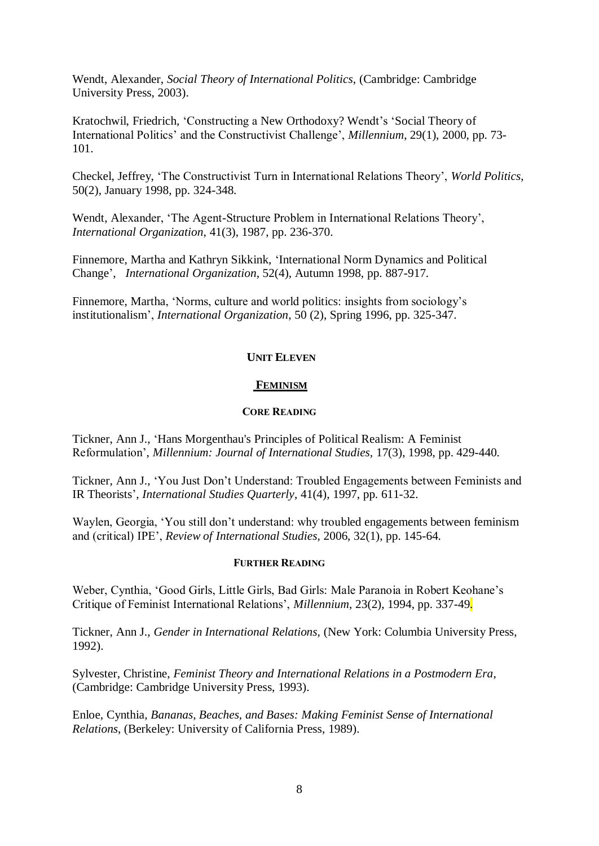Wendt, Alexander, *Social Theory of International Politics*, (Cambridge: Cambridge University Press, 2003).

Kratochwil, Friedrich, 'Constructing a New Orthodoxy? Wendt's 'Social Theory of International Politics' and the Constructivist Challenge', *Millennium*, 29(1), 2000, pp. 73- 101.

Checkel, Jeffrey, 'The Constructivist Turn in International Relations Theory', *World Politics*, 50(2), January 1998, pp. 324-348.

Wendt, Alexander, 'The Agent-Structure Problem in International Relations Theory', *International Organization*, 41(3), 1987, pp. 236-370.

Finnemore, Martha and Kathryn Sikkink, 'International Norm Dynamics and Political Change', *International Organization*, 52(4), Autumn 1998, pp. 887-917.

Finnemore, Martha, 'Norms, culture and world politics: insights from sociology's institutionalism', *International Organization*, 50 (2), Spring 1996, pp. 325-347.

# **UNIT ELEVEN**

# **FEMINISM**

# **CORE READING**

Tickner, Ann J., 'Hans Morgenthau's Principles of Political Realism: A Feminist Reformulation', *Millennium: Journal of International Studies,* 17(3), 1998, pp. 429-440.

Tickner, Ann J., 'You Just Don't Understand: Troubled Engagements between Feminists and IR Theorists', *International Studies Quarterly*, 41(4), 1997, pp. 611-32.

Waylen, Georgia, 'You still don't understand: why troubled engagements between feminism and (critical) IPE', *Review of International Studies*, 2006, 32(1), pp. 145-64.

### **FURTHER READING**

Weber, Cynthia, 'Good Girls, Little Girls, Bad Girls: Male Paranoia in Robert Keohane's Critique of Feminist International Relations', *Millennium*, 23(2), 1994, pp. 337-49.

Tickner, Ann J., *Gender in International Relations*, (New York: Columbia University Press, 1992).

Sylvester, Christine, *Feminist Theory and International Relations in a Postmodern Era*, (Cambridge: Cambridge University Press, 1993).

Enloe, Cynthia, *Bananas, Beaches, and Bases: Making Feminist Sense of International Relations*, (Berkeley: University of California Press, 1989).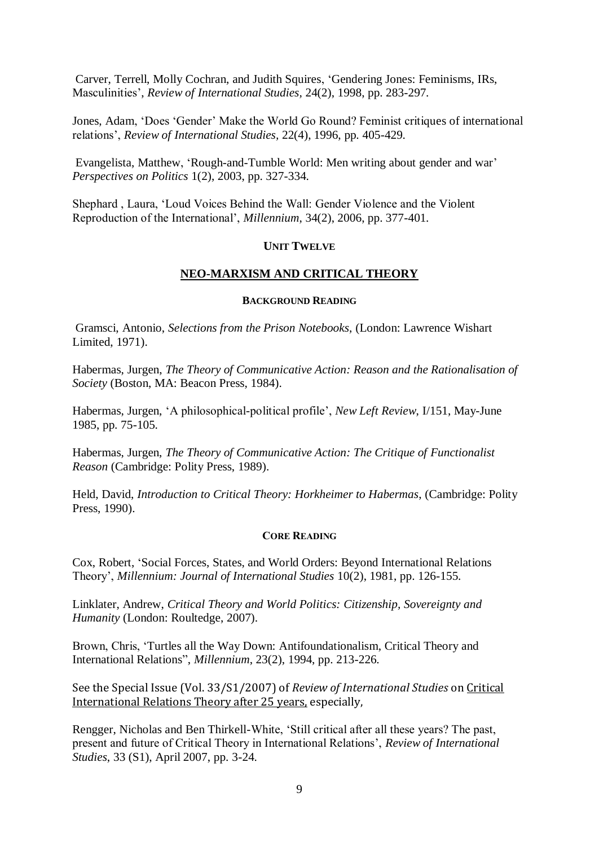Carver, Terrell, Molly Cochran, and Judith Squires, 'Gendering Jones: Feminisms, IRs, Masculinities', *Review of International Studies,* 24(2), 1998, pp. 283-297.

Jones, Adam, 'Does 'Gender' Make the World Go Round? Feminist critiques of international relations', *Review of International Studies,* 22(4), 1996, pp. 405-429.

Evangelista, Matthew, 'Rough-and-Tumble World: Men writing about gender and war' *Perspectives on Politics* 1(2), 2003, pp. 327-334.

Shephard , Laura, 'Loud Voices Behind the Wall: Gender Violence and the Violent Reproduction of the International', *Millennium*, 34(2), 2006, pp. 377-401.

# **UNIT TWELVE**

# **NEO-MARXISM AND CRITICAL THEORY**

#### **BACKGROUND READING**

Gramsci, Antonio, *Selections from the Prison Notebooks*, (London: Lawrence Wishart Limited, 1971).

Habermas, Jurgen, *The Theory of Communicative Action: Reason and the Rationalisation of Society* (Boston, MA: Beacon Press, 1984).

Habermas, Jurgen, 'A philosophical-political profile', *New Left Review*, I/151, May-June 1985, pp. 75-105.

Habermas, Jurgen, *The Theory of Communicative Action: The Critique of Functionalist Reason* (Cambridge: Polity Press, 1989).

Held, David, *Introduction to Critical Theory: Horkheimer to Habermas*, (Cambridge: Polity Press, 1990).

### **CORE READING**

Cox, Robert, 'Social Forces, States, and World Orders: Beyond International Relations Theory', *Millennium: Journal of International Studies* 10(2), 1981, pp. 126-155.

Linklater, Andrew, *Critical Theory and World Politics: Citizenship, Sovereignty and Humanity* (London: Roultedge, 2007).

Brown, Chris, 'Turtles all the Way Down: Antifoundationalism, Critical Theory and International Relations", *Millennium*, 23(2), 1994, pp. 213-226.

See the Special Issue (Vol. 33/S1/2007) of *Review of International Studies* on Critical International Relations Theory after 25 years, especially,

Rengger, Nicholas and Ben Thirkell-White, 'Still critical after all these years? The past, present and future of Critical Theory in International Relations', *Review of International Studies*, 33 (S1), April 2007, pp. 3-24.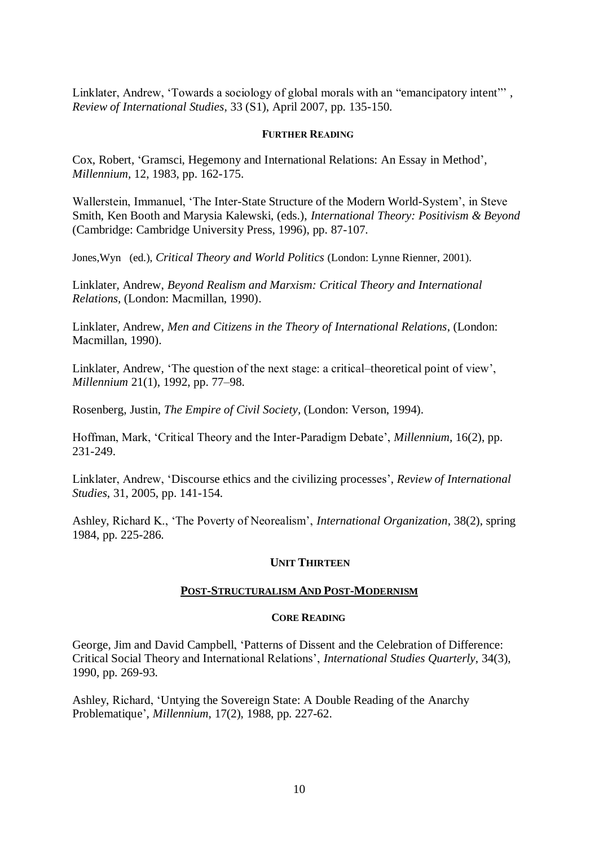Linklater, Andrew, 'Towards a sociology of global morals with an "emancipatory intent"', *Review of International Studies*, 33 (S1), April 2007, pp. 135-150.

# **FURTHER READING**

Cox, Robert, 'Gramsci, Hegemony and International Relations: An Essay in Method', *Millennium,* 12, 1983, pp. 162-175.

Wallerstein, Immanuel, 'The Inter-State Structure of the Modern World-System', in Steve Smith, Ken Booth and Marysia Kalewski, (eds.), *International Theory: Positivism & Beyond* (Cambridge: Cambridge University Press, 1996), pp. 87-107.

Jones,Wyn (ed.), *Critical Theory and World Politics* (London: Lynne Rienner, 2001).

Linklater, Andrew, *Beyond Realism and Marxism: Critical Theory and International Relations,* (London: Macmillan, 1990).

Linklater, Andrew, *Men and Citizens in the Theory of International Relations*, (London: Macmillan, 1990).

Linklater, Andrew, 'The question of the next stage: a critical–theoretical point of view', *Millennium* 21(1), 1992, pp. 77–98.

Rosenberg, Justin, *The Empire of Civil Society,* (London: Verson, 1994).

Hoffman, Mark, 'Critical Theory and the Inter-Paradigm Debate', *Millennium,* 16(2), pp. 231-249.

Linklater, Andrew, 'Discourse ethics and the civilizing processes', *Review of International Studies*, 31, 2005, pp. 141-154.

Ashley, Richard K., 'The Poverty of Neorealism', *International Organization*, 38(2), spring 1984, pp. 225-286.

# **UNIT THIRTEEN**

# **POST-STRUCTURALISM AND POST-MODERNISM**

# **CORE READING**

George, Jim and David Campbell, 'Patterns of Dissent and the Celebration of Difference: Critical Social Theory and International Relations', *International Studies Quarterly*, 34(3), 1990, pp. 269-93.

Ashley, Richard, 'Untying the Sovereign State: A Double Reading of the Anarchy Problematique', *Millennium*, 17(2), 1988, pp. 227-62.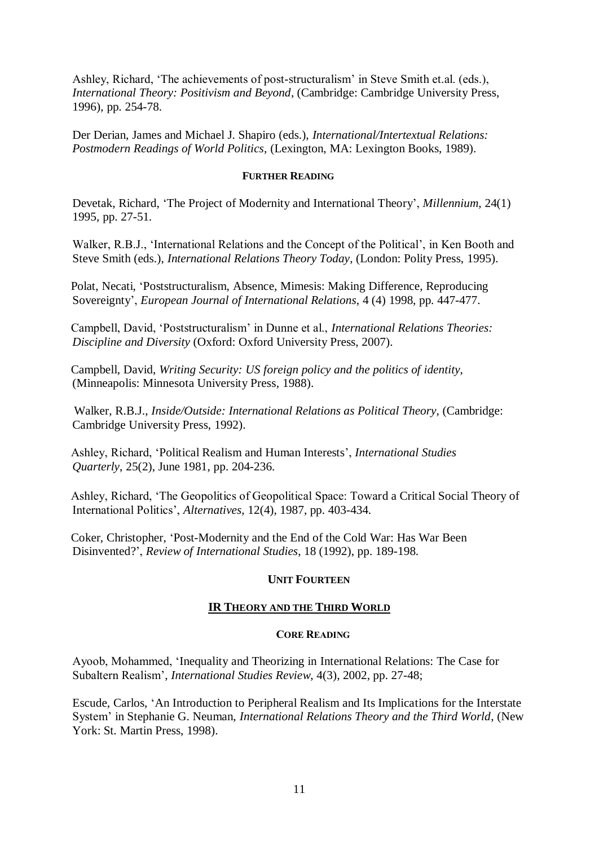Ashley, Richard, 'The achievements of post-structuralism' in Steve Smith et.al. (eds.), *International Theory: Positivism and Beyond*, (Cambridge: Cambridge University Press, 1996), pp. 254-78.

Der Derian, James and Michael J. Shapiro (eds.), *International/Intertextual Relations: Postmodern Readings of World Politics*, (Lexington, MA: Lexington Books, 1989).

# **FURTHER READING**

Devetak, Richard, 'The Project of Modernity and International Theory', *Millennium*, 24(1) 1995, pp. 27-51.

Walker, R.B.J., 'International Relations and the Concept of the Political', in Ken Booth and Steve Smith (eds.), *International Relations Theory Today*, (London: Polity Press, 1995).

Polat, Necati, 'Poststructuralism, Absence, Mimesis: Making Difference, Reproducing Sovereignty', *European Journal of International Relations*, 4 (4) 1998, pp. 447-477.

Campbell, David, 'Poststructuralism' in Dunne et al., *International Relations Theories: Discipline and Diversity* (Oxford: Oxford University Press, 2007).

Campbell, David, *Writing Security: US foreign policy and the politics of identity*, (Minneapolis: Minnesota University Press, 1988).

Walker, R.B.J., *Inside/Outside: International Relations as Political Theory,* (Cambridge: Cambridge University Press, 1992).

Ashley, Richard, 'Political Realism and Human Interests', *International Studies Quarterly*, 25(2), June 1981, pp. 204-236.

Ashley, Richard, 'The Geopolitics of Geopolitical Space: Toward a Critical Social Theory of International Politics', *Alternatives*, 12(4), 1987, pp. 403-434.

Coker, Christopher, 'Post-Modernity and the End of the Cold War: Has War Been Disinvented?', *Review of International Studies*, 18 (1992), pp. 189-198.

# **UNIT FOURTEEN**

# **IR THEORY AND THE THIRD WORLD**

## **CORE READING**

Ayoob, Mohammed, 'Inequality and Theorizing in International Relations: The Case for Subaltern Realism', *International Studies Review*, 4(3), 2002, pp. 27-48;

Escude, Carlos, 'An Introduction to Peripheral Realism and Its Implications for the Interstate System' in Stephanie G. Neuman, *International Relations Theory and the Third World*, (New York: St. Martin Press, 1998).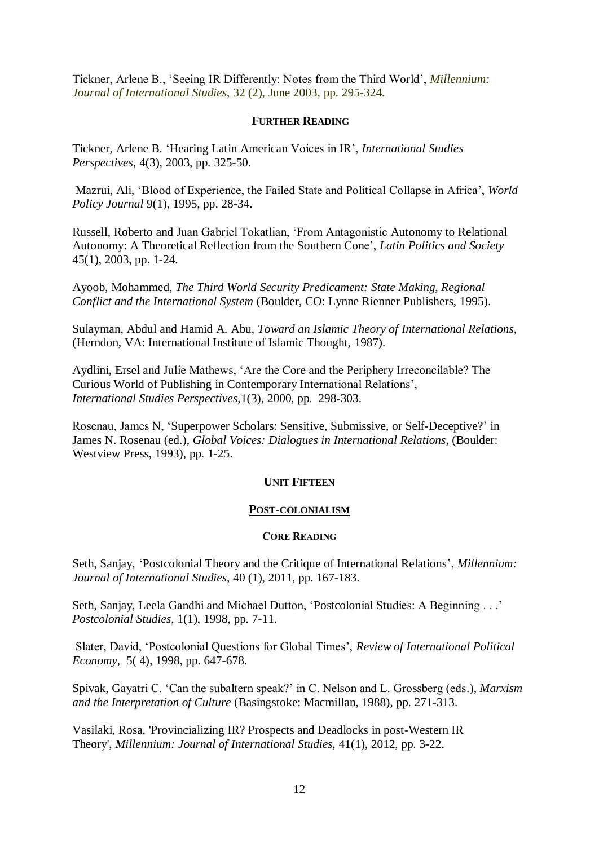Tickner, Arlene B., 'Seeing IR Differently: Notes from the Third World', *Millennium: Journal of International Studies*, 32 (2), June 2003, pp. 295-324.

# **FURTHER READING**

Tickner, Arlene B. 'Hearing Latin American Voices in IR', *International Studies Perspectives*, 4(3), 2003, pp. 325-50.

Mazrui, Ali, 'Blood of Experience, the Failed State and Political Collapse in Africa', *World Policy Journal* 9(1), 1995, pp. 28-34.

Russell, Roberto and Juan Gabriel Tokatlian, 'From Antagonistic Autonomy to Relational Autonomy: A Theoretical Reflection from the Southern Cone', *Latin Politics and Society* 45(1), 2003, pp. 1-24.

Ayoob, Mohammed, *The Third World Security Predicament: State Making, Regional Conflict and the International System* (Boulder, CO: Lynne Rienner Publishers, 1995).

Sulayman, Abdul and Hamid A. Abu, *Toward an Islamic Theory of International Relations*, (Herndon, VA: International Institute of Islamic Thought, 1987).

Aydlini, Ersel and Julie Mathews, 'Are the Core and the Periphery Irreconcilable? The Curious World of Publishing in Contemporary International Relations', *International Studies Perspectives*,1(3), 2000, pp. 298-303.

Rosenau, James N, 'Superpower Scholars: Sensitive, Submissive, or Self-Deceptive?' in James N. Rosenau (ed.), *Global Voices: Dialogues in International Relations,* (Boulder: Westview Press, 1993), pp. 1-25.

### **UNIT FIFTEEN**

### **POST-COLONIALISM**

## **CORE READING**

Seth, Sanjay, 'Postcolonial Theory and the Critique of International Relations', *Millennium: Journal of International Studies*, 40 (1), 2011, pp. 167-183.

Seth, Sanjay, Leela Gandhi and Michael Dutton, 'Postcolonial Studies: A Beginning . . .' *Postcolonial Studies*, 1(1), 1998, pp. 7-11.

Slater, David, 'Postcolonial Questions for Global Times', *Review of International Political Economy*, 5( 4), 1998, pp. 647-678.

Spivak, Gayatri C. 'Can the subaltern speak?' in C. Nelson and L. Grossberg (eds.), *Marxism and the Interpretation of Culture* (Basingstoke: Macmillan, 1988), pp. 271-313.

Vasilaki, Rosa, 'Provincializing IR? Prospects and Deadlocks in post-Western IR Theory', *Millennium: Journal of International Studies,* 41(1), 2012, pp. 3-22.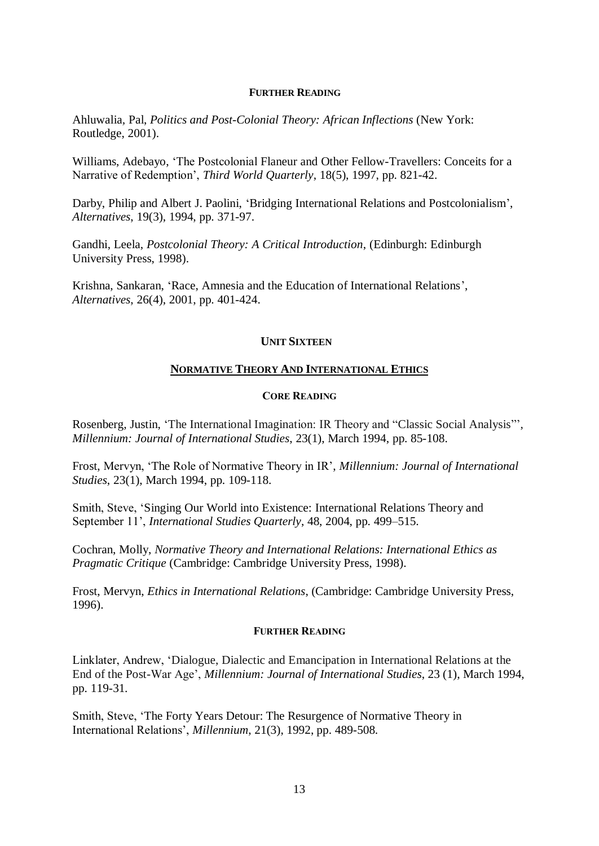Ahluwalia*,* Pal, *Politics and Post-Colonial Theory: African Inflections* (New York: Routledge, 2001).

Williams, Adebayo, 'The Postcolonial Flaneur and Other Fellow-Travellers: Conceits for a Narrative of Redemption', *Third World Quarterly*, 18(5), 1997, pp. 821-42.

Darby, Philip and Albert J. Paolini, 'Bridging International Relations and Postcolonialism', *Alternatives*, 19(3), 1994, pp. 371-97.

Gandhi, Leela, *Postcolonial Theory: A Critical Introduction*, (Edinburgh: Edinburgh University Press, 1998).

Krishna, Sankaran, 'Race, Amnesia and the Education of International Relations', *Alternatives*, 26(4), 2001, pp. 401-424.

### **UNIT SIXTEEN**

# **NORMATIVE THEORY AND INTERNATIONAL ETHICS**

## **CORE READING**

Rosenberg, Justin, 'The International Imagination: IR Theory and "Classic Social Analysis"', *Millennium: Journal of International Studies*, 23(1), March 1994, pp. 85-108.

Frost, Mervyn, 'The Role of Normative Theory in IR', *Millennium: Journal of International Studies*, 23(1), March 1994, pp. 109-118.

Smith, Steve, 'Singing Our World into Existence: International Relations Theory and September 11', *International Studies Quarterly*, 48, 2004, pp. 499–515.

Cochran, Molly, *Normative Theory and International Relations: International Ethics as Pragmatic Critique* (Cambridge: Cambridge University Press, 1998).

Frost, Mervyn, *Ethics in International Relations*, (Cambridge: Cambridge University Press, 1996).

## **FURTHER READING**

Linklater, Andrew, 'Dialogue, Dialectic and Emancipation in International Relations at the End of the Post-War Age', *Millennium: Journal of International Studies*, 23 (1), March 1994, pp. 119-31.

Smith, Steve, 'The Forty Years Detour: The Resurgence of Normative Theory in International Relations', *Millennium*, 21(3), 1992, pp. 489-508.